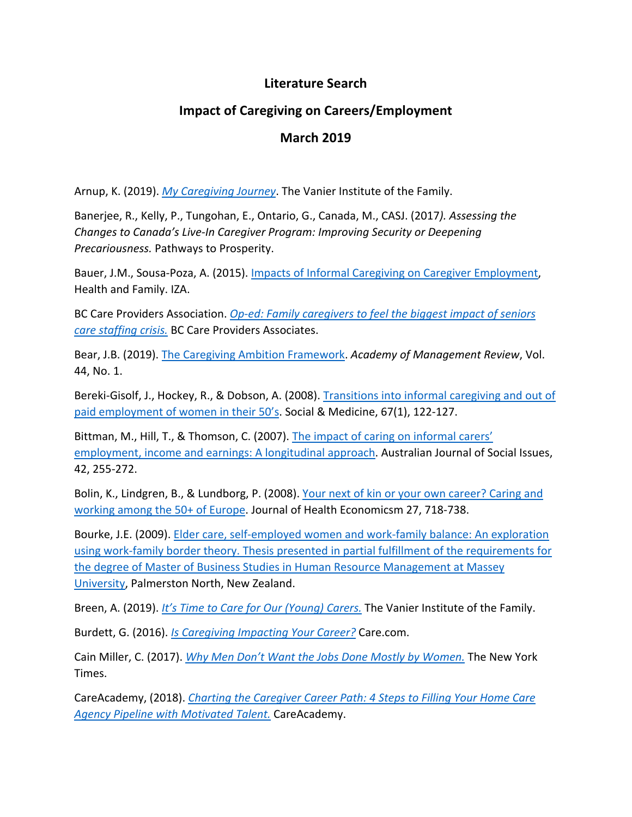## **Literature Search**

## **Impact of Caregiving on Careers/Employment**

## **March 2019**

Arnup, K. (2019). *My Caregiving Journey*. The Vanier Institute of the Family.

Banerjee, R., Kelly, P., Tungohan, E., Ontario, G., Canada, M., CASJ. (2017*). Assessing the Changes to Canada's Live-In Caregiver Program: Improving Security or Deepening Precariousness.* Pathways to Prosperity.

Bauer, J.M., Sousa-Poza, A. (2015). Impacts of Informal Caregiving on Caregiver Employment, Health and Family. IZA.

BC Care Providers Association. *Op-ed: Family caregivers to feel the biggest impact of seniors care staffing crisis.* BC Care Providers Associates.

Bear, J.B. (2019). The Caregiving Ambition Framework. *Academy of Management Review*, Vol. 44, No. 1.

Bereki-Gisolf, J., Hockey, R., & Dobson, A. (2008). Transitions into informal caregiving and out of paid employment of women in their 50's. Social & Medicine, 67(1), 122-127.

Bittman, M., Hill, T., & Thomson, C. (2007). The impact of caring on informal carers' employment, income and earnings: A longitudinal approach. Australian Journal of Social Issues, 42, 255-272.

Bolin, K., Lindgren, B., & Lundborg, P. (2008). Your next of kin or your own career? Caring and working among the 50+ of Europe. Journal of Health Economicsm 27, 718-738.

Bourke, J.E. (2009). Elder care, self-employed women and work-family balance: An exploration using work-family border theory. Thesis presented in partial fulfillment of the requirements for the degree of Master of Business Studies in Human Resource Management at Massey University, Palmerston North, New Zealand.

Breen, A. (2019). *It's Time to Care for Our (Young) Carers.* The Vanier Institute of the Family.

Burdett, G. (2016). *Is Caregiving Impacting Your Career?* Care.com.

Cain Miller, C. (2017). *Why Men Don't Want the Jobs Done Mostly by Women.* The New York Times.

CareAcademy, (2018). *Charting the Caregiver Career Path: 4 Steps to Filling Your Home Care Agency Pipeline with Motivated Talent.* CareAcademy.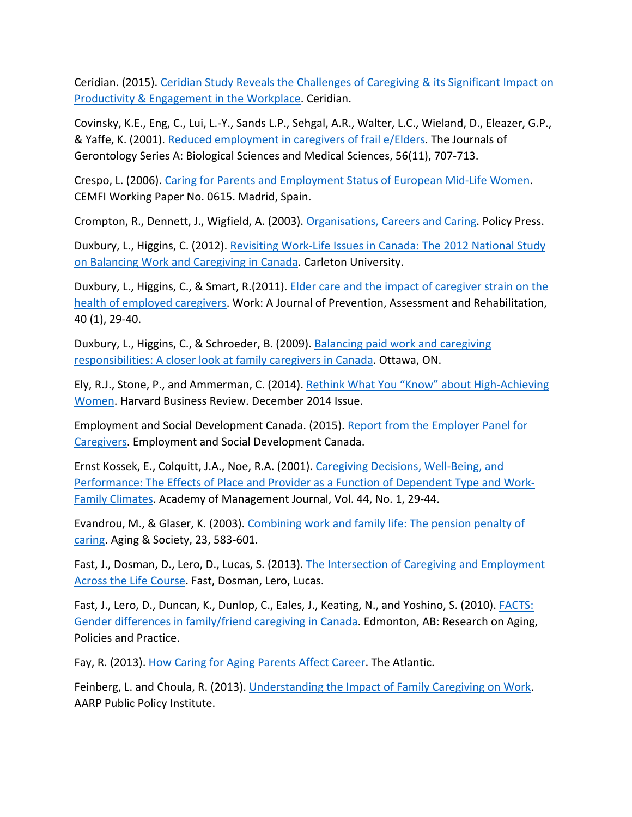Ceridian. (2015). Ceridian Study Reveals the Challenges of Caregiving & its Significant Impact on Productivity & Engagement in the Workplace. Ceridian.

Covinsky, K.E., Eng, C., Lui, L.-Y., Sands L.P., Sehgal, A.R., Walter, L.C., Wieland, D., Eleazer, G.P., & Yaffe, K. (2001). Reduced employment in caregivers of frail e/Elders. The Journals of Gerontology Series A: Biological Sciences and Medical Sciences, 56(11), 707-713.

Crespo, L. (2006). Caring for Parents and Employment Status of European Mid-Life Women. CEMFI Working Paper No. 0615. Madrid, Spain.

Crompton, R., Dennett, J., Wigfield, A. (2003). Organisations, Careers and Caring. Policy Press.

Duxbury, L., Higgins, C. (2012). Revisiting Work-Life Issues in Canada: The 2012 National Study on Balancing Work and Caregiving in Canada. Carleton University.

Duxbury, L., Higgins, C., & Smart, R.(2011). Elder care and the impact of caregiver strain on the health of employed caregivers. Work: A Journal of Prevention, Assessment and Rehabilitation, 40 (1), 29-40.

Duxbury, L., Higgins, C., & Schroeder, B. (2009). Balancing paid work and caregiving responsibilities: A closer look at family caregivers in Canada. Ottawa, ON.

Ely, R.J., Stone, P., and Ammerman, C. (2014). Rethink What You "Know" about High-Achieving Women. Harvard Business Review. December 2014 Issue.

Employment and Social Development Canada. (2015). Report from the Employer Panel for Caregivers. Employment and Social Development Canada.

Ernst Kossek, E., Colquitt, J.A., Noe, R.A. (2001). Caregiving Decisions, Well-Being, and Performance: The Effects of Place and Provider as a Function of Dependent Type and Work-Family Climates. Academy of Management Journal, Vol. 44, No. 1, 29-44.

Evandrou, M., & Glaser, K. (2003). Combining work and family life: The pension penalty of caring. Aging & Society, 23, 583-601.

Fast, J., Dosman, D., Lero, D., Lucas, S. (2013). The Intersection of Caregiving and Employment Across the Life Course. Fast, Dosman, Lero, Lucas.

Fast, J., Lero, D., Duncan, K., Dunlop, C., Eales, J., Keating, N., and Yoshino, S. (2010). FACTS: Gender differences in family/friend caregiving in Canada. Edmonton, AB: Research on Aging, Policies and Practice.

Fay, R. (2013). How Caring for Aging Parents Affect Career. The Atlantic.

Feinberg, L. and Choula, R. (2013). Understanding the Impact of Family Caregiving on Work. AARP Public Policy Institute.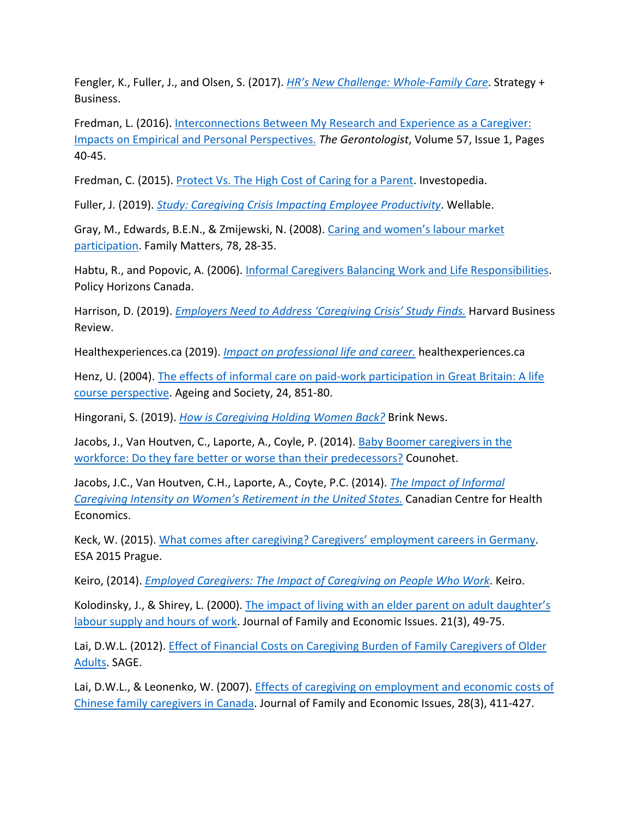Fengler, K., Fuller, J., and Olsen, S. (2017). *HR's New Challenge: Whole-Family Care*. Strategy + Business.

Fredman, L. (2016). Interconnections Between My Research and Experience as a Caregiver: Impacts on Empirical and Personal Perspectives. *The Gerontologist*, Volume 57, Issue 1, Pages 40-45.

Fredman, C. (2015). Protect Vs. The High Cost of Caring for a Parent. Investopedia.

Fuller, J. (2019). *Study: Caregiving Crisis Impacting Employee Productivity*. Wellable.

Gray, M., Edwards, B.E.N., & Zmijewski, N. (2008). Caring and women's labour market participation. Family Matters, 78, 28-35.

Habtu, R., and Popovic, A. (2006). Informal Caregivers Balancing Work and Life Responsibilities. Policy Horizons Canada.

Harrison, D. (2019). *Employers Need to Address 'Caregiving Crisis' Study Finds.* Harvard Business Review.

Healthexperiences.ca (2019). *Impact on professional life and career.* healthexperiences.ca

Henz, U. (2004). The effects of informal care on paid-work participation in Great Britain: A life course perspective. Ageing and Society, 24, 851-80.

Hingorani, S. (2019). *How is Caregiving Holding Women Back?* Brink News.

Jacobs, J., Van Houtven, C., Laporte, A., Coyle, P. (2014). Baby Boomer caregivers in the workforce: Do they fare better or worse than their predecessors? Counohet.

Jacobs, J.C., Van Houtven, C.H., Laporte, A., Coyte, P.C. (2014). *The Impact of Informal Caregiving Intensity on Women's Retirement in the United States.* Canadian Centre for Health Economics.

Keck, W. (2015). What comes after caregiving? Caregivers' employment careers in Germany. ESA 2015 Prague.

Keiro, (2014). *Employed Caregivers: The Impact of Caregiving on People Who Work*. Keiro.

Kolodinsky, J., & Shirey, L. (2000). The impact of living with an elder parent on adult daughter's labour supply and hours of work. Journal of Family and Economic Issues. 21(3), 49-75.

Lai, D.W.L. (2012). **Effect of Financial Costs on Caregiving Burden of Family Caregivers of Older** Adults. SAGE.

Lai, D.W.L., & Leonenko, W. (2007). Effects of caregiving on employment and economic costs of Chinese family caregivers in Canada. Journal of Family and Economic Issues, 28(3), 411-427.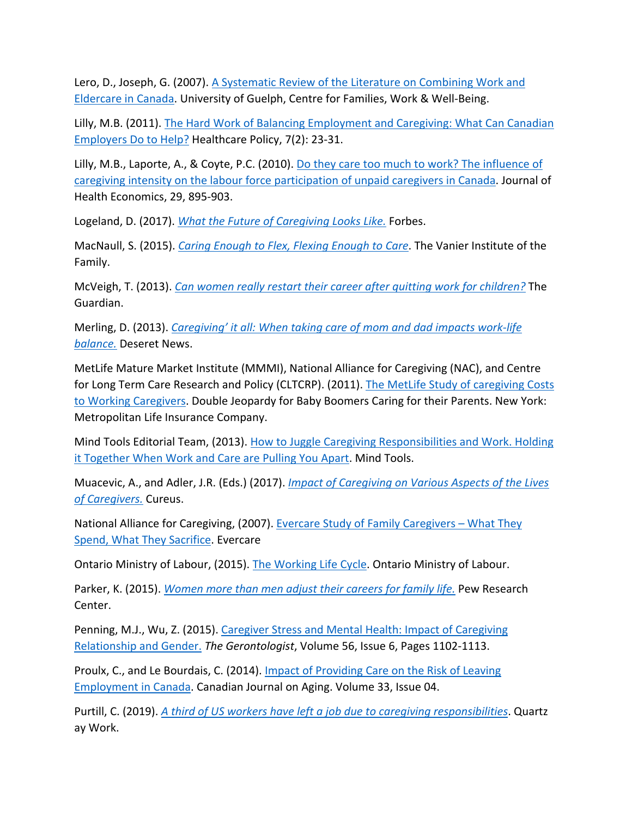Lero, D., Joseph, G. (2007). A Systematic Review of the Literature on Combining Work and Eldercare in Canada. University of Guelph, Centre for Families, Work & Well-Being.

Lilly, M.B. (2011). The Hard Work of Balancing Employment and Caregiving: What Can Canadian Employers Do to Help? Healthcare Policy, 7(2): 23-31.

Lilly, M.B., Laporte, A., & Coyte, P.C. (2010). Do they care too much to work? The influence of caregiving intensity on the labour force participation of unpaid caregivers in Canada. Journal of Health Economics, 29, 895-903.

Logeland, D. (2017). *What the Future of Caregiving Looks Like.* Forbes.

MacNaull, S. (2015). *Caring Enough to Flex, Flexing Enough to Care*. The Vanier Institute of the Family.

McVeigh, T. (2013). *Can women really restart their career after quitting work for children?* The Guardian.

Merling, D. (2013). *Caregiving' it all: When taking care of mom and dad impacts work-life balance.* Deseret News.

MetLife Mature Market Institute (MMMI), National Alliance for Caregiving (NAC), and Centre for Long Term Care Research and Policy (CLTCRP). (2011). The MetLife Study of caregiving Costs to Working Caregivers. Double Jeopardy for Baby Boomers Caring for their Parents. New York: Metropolitan Life Insurance Company.

Mind Tools Editorial Team, (2013). How to Juggle Caregiving Responsibilities and Work. Holding it Together When Work and Care are Pulling You Apart. Mind Tools.

Muacevic, A., and Adler, J.R. (Eds.) (2017). *Impact of Caregiving on Various Aspects of the Lives of Caregivers.* Cureus.

National Alliance for Caregiving, (2007). Evercare Study of Family Caregivers – What They Spend, What They Sacrifice. Evercare

Ontario Ministry of Labour, (2015). The Working Life Cycle. Ontario Ministry of Labour.

Parker, K. (2015). *Women more than men adjust their careers for family life.* Pew Research Center.

Penning, M.J., Wu, Z. (2015). Caregiver Stress and Mental Health: Impact of Caregiving Relationship and Gender. *The Gerontologist*, Volume 56, Issue 6, Pages 1102-1113.

Proulx, C., and Le Bourdais, C. (2014). Impact of Providing Care on the Risk of Leaving Employment in Canada. Canadian Journal on Aging. Volume 33, Issue 04.

Purtill, C. (2019). *A third of US workers have left a job due to caregiving responsibilities*. Quartz ay Work.